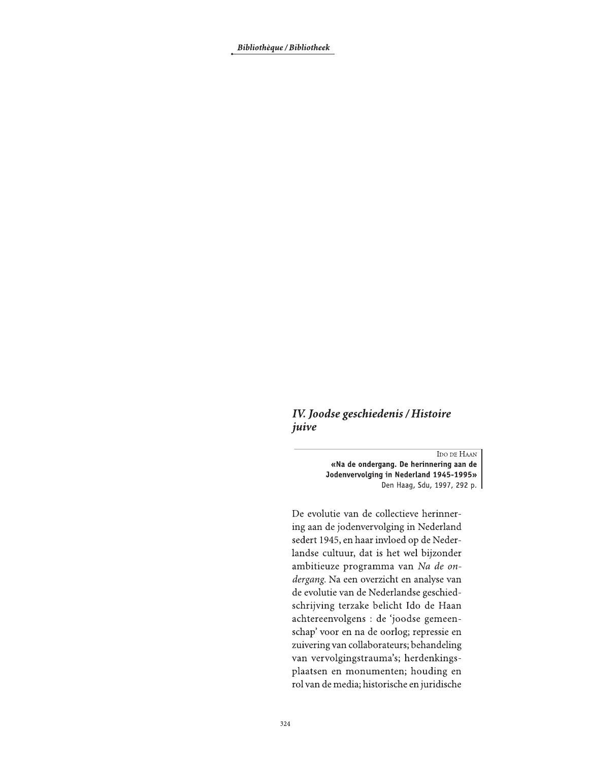Bibliothèque / Bibliotheek

## IV. Joodse geschiedenis / Histoire juive

IDO DE HAAN «Na de ondergang. De herinnering aan de Jodenvervolging in Nederland 1945-1995» Den Haag, Sdu, 1997, 292 p.

De evolutie van de collectieve herinnering aan de jodenvervolging in Nederland sedert 1945, en haar invloed op de Nederlandse cultuur, dat is het wel bijzonder ambitieuze programma van Na de ondergang. Na een overzicht en analyse van de evolutie van de Nederlandse geschiedschrijving terzake belicht Ido de Haan achtereenvolgens : de 'joodse gemeenschap' voor en na de oorlog; repressie en zuivering van collaborateurs; behandeling van vervolgingstrauma's; herdenkingsplaatsen en monumenten; houding en rol van de media; historische en juridische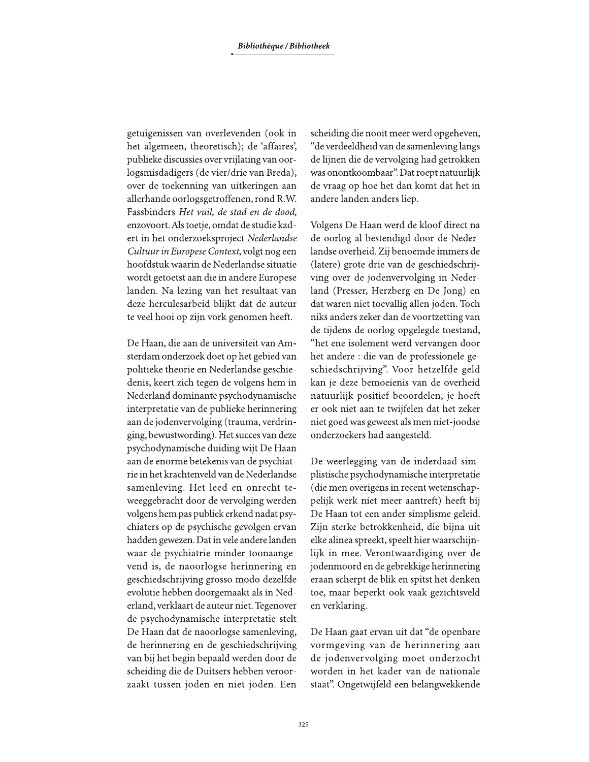getuigenissen van overlevenden (ook in het algemeen, theoretisch); de 'affaires', publieke discussies over vrijlating van oorlogsmisdadigers (de vier/drie van Breda), over de toekenning van uitkeringen aan allerhande oorlogsgetroffenen, rond R.W. Fassbinders Het vuil, de stad en de dood, enzovoort. Als toetje, omdat de studie kadert in het onderzoeksproject Nederlandse Cultuur in Europese Context, volgt nog een hoofdstuk waarin de Nederlandse situatie wordt getoetst aan die in andere Europese landen. Na lezing van het resultaat van deze herculesarbeid blijkt dat de auteur te veel hooi op zijn vork genomen heeft.

De Haan, die aan de universiteit van Amsterdam onderzoek doet op het gebied van politieke theorie en Nederlandse geschiedenis, keert zich tegen de volgens hem in Nederland dominante psychodynamische interpretatie van de publieke herinnering aan de jodenvervolging (trauma, verdringing, bewustwording). Het succes van deze psychodynamische duiding wijt De Haan aan de enorme betekenis van de psychiatrie in het krachtenveld van de Nederlandse samenleving. Het leed en onrecht teweeggebracht door de vervolging werden volgens hem pas publiek erkend nadat psychiaters op de psychische gevolgen ervan hadden gewezen. Dat in vele andere landen waar de psychiatrie minder toonaangevend is, de naoorlogse herinnering en geschiedschrijving grosso modo dezelfde evolutie hebben doorgemaakt als in Nederland, verklaart de auteur niet. Tegenover de psychodynamische interpretatie stelt De Haan dat de naoorlogse samenleving, de herinnering en de geschiedschrijving van bij het begin bepaald werden door de scheiding die de Duitsers hebben veroorzaakt tussen joden en niet-joden. Een

scheiding die nooit meer werd opgeheven, "de verdeeldheid van de samenleving langs de lijnen die de vervolging had getrokken was onontkoombaar". Dat roept natuurlijk de vraag op hoe het dan komt dat het in andere landen anders liep.

Volgens De Haan werd de kloof direct na de oorlog al bestendigd door de Nederlandse overheid. Zij benoemde immers de (latere) grote drie van de geschiedschrijving over de jodenvervolging in Nederland (Presser, Herzberg en De Jong) en dat waren niet toevallig allen joden. Toch niks anders zeker dan de voortzetting van de tijdens de oorlog opgelegde toestand, "het ene isolement werd vervangen door het andere : die van de professionele geschiedschrijving". Voor hetzelfde geld kan je deze bemoeienis van de overheid natuurlijk positief beoordelen; je hoeft er ook niet aan te twijfelen dat het zeker niet goed was geweest als men niet-joodse onderzoekers had aangesteld.

De weerlegging van de inderdaad simplistische psychodynamische interpretatie (die men overigens in recent wetenschappelijk werk niet meer aantreft) heeft bij De Haan tot een ander simplisme geleid. Zijn sterke betrokkenheid, die bijna uit elke alinea spreekt, speelt hier waarschijnlijk in mee. Verontwaardiging over de jodenmoord en de gebrekkige herinnering eraan scherpt de blik en spitst het denken toe, maar beperkt ook vaak gezichtsveld en verklaring.

De Haan gaat ervan uit dat "de openbare vormgeving van de herinnering aan de jodenvervolging moet onderzocht worden in het kader van de nationale staat". Ongetwijfeld een belangwekkende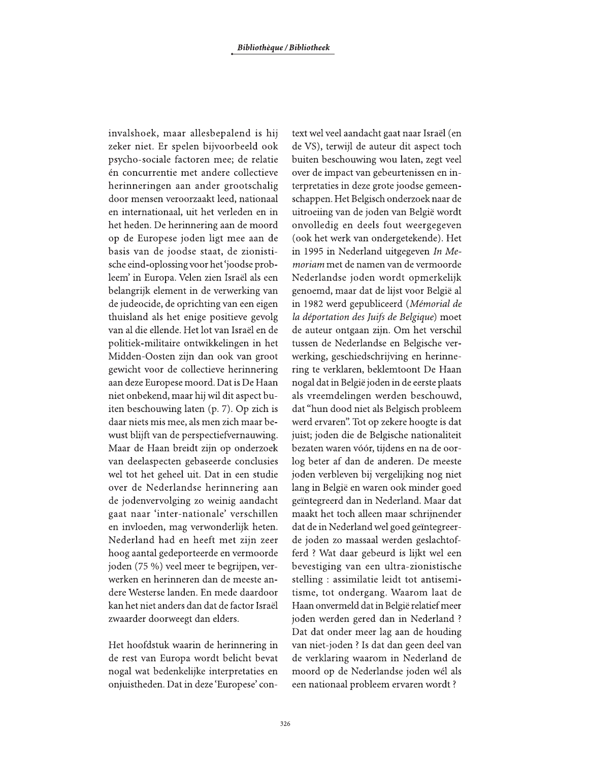invalshoek, maar allesbepalend is hij zeker niet. Er spelen bijvoorbeeld ook psycho-sociale factoren mee; de relatie én concurrentie met andere collectieve herinneringen aan ander grootschalig door mensen veroorzaakt leed, nationaal en internationaal, uit het verleden en in het heden. De herinnering aan de moord op de Europese joden ligt mee aan de basis van de joodse staat, de zionistische eind-oplossing voor het 'joodse probleem' in Europa. Velen zien Israël als een belangrijk element in de verwerking van de judeocide, de oprichting van een eigen thuisland als het enige positieve gevolg van al die ellende. Het lot van Israël en de politiek-militaire ontwikkelingen in het Midden-Oosten zijn dan ook van groot gewicht voor de collectieve herinnering aan deze Europese moord. Dat is De Haan niet onbekend, maar hij wil dit aspect buiten beschouwing laten (p. 7). Op zich is daar niets mis mee, als men zich maar bewust blijft van de perspectiefvernauwing. Maar de Haan breidt zijn op onderzoek van deelaspecten gebaseerde conclusies wel tot het geheel uit. Dat in een studie over de Nederlandse herinnering aan de jodenvervolging zo weinig aandacht gaat naar 'inter-nationale' verschillen en invloeden, mag verwonderlijk heten. Nederland had en heeft met zijn zeer hoog aantal gedeporteerde en vermoorde joden (75 %) veel meer te begrijpen, verwerken en herinneren dan de meeste andere Westerse landen. En mede daardoor kan het niet anders dan dat de factor Israël zwaarder doorweegt dan elders.

Het hoofdstuk waarin de herinnering in de rest van Europa wordt belicht bevat nogal wat bedenkelijke interpretaties en onjuistheden. Dat in deze 'Europese' con-

text wel veel aandacht gaat naar Israël (en de VS), terwijl de auteur dit aspect toch buiten beschouwing wou laten, zegt veel over de impact van gebeurtenissen en interpretaties in deze grote joodse gemeenschappen. Het Belgisch onderzoek naar de uitroeiing van de joden van België wordt onvolledig en deels fout weergegeven (ook het werk van ondergetekende). Het in 1995 in Nederland uitgegeven In Memoriam met de namen van de vermoorde Nederlandse joden wordt opmerkelijk genoemd, maar dat de lijst voor België al in 1982 werd gepubliceerd (Mémorial de la déportation des Juifs de Belgique) moet de auteur ontgaan zijn. Om het verschil tussen de Nederlandse en Belgische verwerking, geschiedschrijving en herinnering te verklaren, beklemtoont De Haan nogal dat in België joden in de eerste plaats als vreemdelingen werden beschouwd, dat "hun dood niet als Belgisch probleem werd ervaren". Tot op zekere hoogte is dat juist; joden die de Belgische nationaliteit bezaten waren vóór, tijdens en na de oorlog beter af dan de anderen. De meeste joden verbleven bij vergelijking nog niet lang in België en waren ook minder goed geïntegreerd dan in Nederland. Maar dat maakt het toch alleen maar schrijnender dat de in Nederland wel goed geïntegreerde joden zo massaal werden geslachtofferd ? Wat daar gebeurd is lijkt wel een bevestiging van een ultra-zionistische stelling : assimilatie leidt tot antisemitisme, tot ondergang. Waarom laat de Haan onvermeld dat in België relatief meer joden werden gered dan in Nederland ? Dat dat onder meer lag aan de houding van niet-joden ? Is dat dan geen deel van de verklaring waarom in Nederland de moord op de Nederlandse joden wél als een nationaal probleem ervaren wordt?